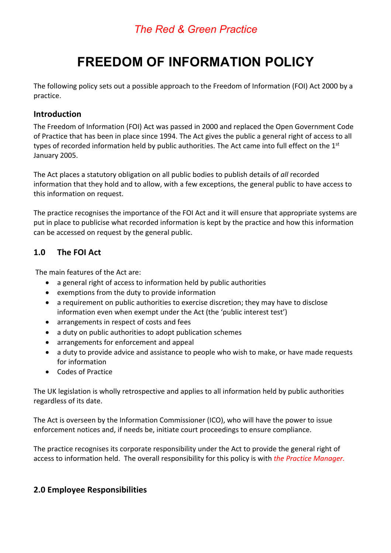## *The Red & Green Practice*

# **FREEDOM OF INFORMATION POLICY**

The following policy sets out a possible approach to the Freedom of Information (FOI) Act 2000 by a practice.

#### **Introduction**

The Freedom of Information (FOI) Act was passed in 2000 and replaced the Open Government Code of Practice that has been in place since 1994. The Act gives the public a general right of access to all types of recorded information held by public authorities. The Act came into full effect on the  $1<sup>st</sup>$ January 2005.

The Act places a statutory obligation on all public bodies to publish details of *all* recorded information that they hold and to allow, with a few exceptions, the general public to have access to this information on request.

The practice recognises the importance of the FOI Act and it will ensure that appropriate systems are put in place to publicise what recorded information is kept by the practice and how this information can be accessed on request by the general public.

### **1.0 The FOI Act**

The main features of the Act are:

- a general right of access to information held by public authorities
- exemptions from the duty to provide information
- a requirement on public authorities to exercise discretion; they may have to disclose information even when exempt under the Act (the 'public interest test')
- arrangements in respect of costs and fees
- a duty on public authorities to adopt publication schemes
- arrangements for enforcement and appeal
- a duty to provide advice and assistance to people who wish to make, or have made requests for information
- Codes of Practice

The UK legislation is wholly retrospective and applies to all information held by public authorities regardless of its date.

The Act is overseen by the Information Commissioner (ICO), who will have the power to issue enforcement notices and, if needs be, initiate court proceedings to ensure compliance.

The practice recognises its corporate responsibility under the Act to provide the general right of access to information held. The overall responsibility for this policy is with *the Practice Manager.*

### **2.0 Employee Responsibilities**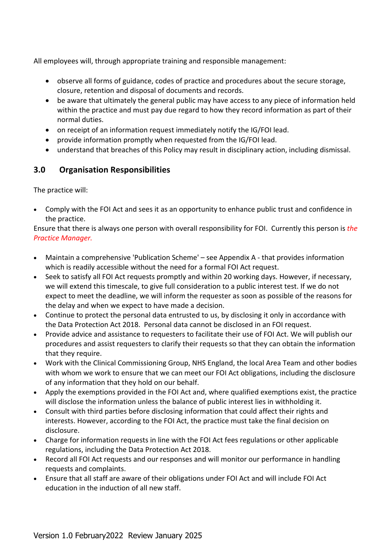All employees will, through appropriate training and responsible management:

- observe all forms of guidance, codes of practice and procedures about the secure storage, closure, retention and disposal of documents and records.
- be aware that ultimately the general public may have access to any piece of information held within the practice and must pay due regard to how they record information as part of their normal duties.
- on receipt of an information request immediately notify the IG/FOI lead.
- provide information promptly when requested from the IG/FOI lead.
- understand that breaches of this Policy may result in disciplinary action, including dismissal.

#### **3.0 Organisation Responsibilities**

The practice will:

• Comply with the FOI Act and sees it as an opportunity to enhance public trust and confidence in the practice.

Ensure that there is always one person with overall responsibility for FOI. Currently this person is *the Practice Manager.*

- Maintain a comprehensive 'Publication Scheme' see Appendix A that provides information which is readily accessible without the need for a formal FOI Act request.
- Seek to satisfy all FOI Act requests promptly and within 20 working days. However, if necessary, we will extend this timescale, to give full consideration to a public interest test. If we do not expect to meet the deadline, we will inform the requester as soon as possible of the reasons for the delay and when we expect to have made a decision.
- Continue to protect the personal data entrusted to us, by disclosing it only in accordance with the Data Protection Act 2018. Personal data cannot be disclosed in an FOI request.
- Provide advice and assistance to requesters to facilitate their use of FOI Act. We will publish our procedures and assist requesters to clarify their requests so that they can obtain the information that they require.
- Work with the Clinical Commissioning Group, NHS England, the local Area Team and other bodies with whom we work to ensure that we can meet our FOI Act obligations, including the disclosure of any information that they hold on our behalf.
- Apply the exemptions provided in the FOI Act and, where qualified exemptions exist, the practice will disclose the information unless the balance of public interest lies in withholding it.
- Consult with third parties before disclosing information that could affect their rights and interests. However, according to the FOI Act, the practice must take the final decision on disclosure.
- Charge for information requests in line with the FOI Act fees regulations or other applicable regulations, including the Data Protection Act 2018.
- Record all FOI Act requests and our responses and will monitor our performance in handling requests and complaints.
- Ensure that all staff are aware of their obligations under FOI Act and will include FOI Act education in the induction of all new staff.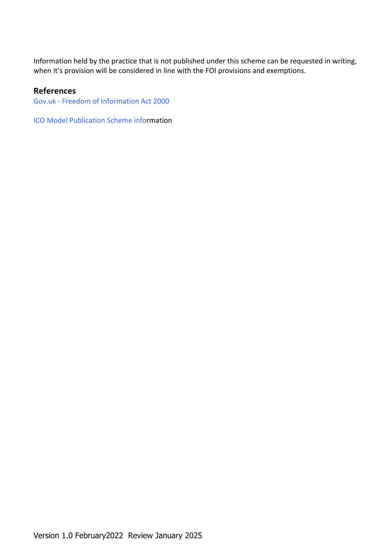Information held by the practice that is not published under this scheme can be requested in writing, when it's provision will be considered in line with the FOI provisions and exemptions.

#### **References**

Gov.uk - Freedom of Information Act 2000

ICO Model Publication Scheme information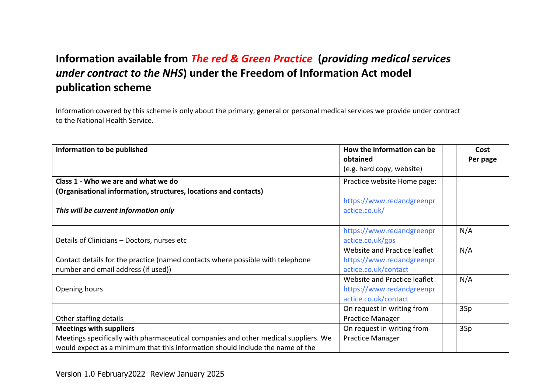## **Information available from** *The red & Green Practice* **(***providing medical services under contract to the NHS***) under the Freedom of Information Act model publication scheme**

Information covered by this scheme is only about the primary, general or personal medical services we provide under contract to the National Health Service.

| Information to be published                                                         | How the information can be   | Cost     |
|-------------------------------------------------------------------------------------|------------------------------|----------|
|                                                                                     | obtained                     | Per page |
|                                                                                     | (e.g. hard copy, website)    |          |
| Class 1 - Who we are and what we do                                                 | Practice website Home page:  |          |
| (Organisational information, structures, locations and contacts)                    |                              |          |
|                                                                                     | https://www.redandgreenpr    |          |
| This will be current information only                                               | actice.co.uk/                |          |
|                                                                                     |                              |          |
|                                                                                     | https://www.redandgreenpr    | N/A      |
| Details of Clinicians - Doctors, nurses etc                                         | actice.co.uk/gps             |          |
|                                                                                     | Website and Practice leaflet | N/A      |
| Contact details for the practice (named contacts where possible with telephone      | https://www.redandgreenpr    |          |
| number and email address (if used))                                                 | actice.co.uk/contact         |          |
|                                                                                     | Website and Practice leaflet | N/A      |
| Opening hours                                                                       | https://www.redandgreenpr    |          |
|                                                                                     | actice.co.uk/contact         |          |
|                                                                                     | On request in writing from   | 35p      |
| Other staffing details                                                              | <b>Practice Manager</b>      |          |
| <b>Meetings with suppliers</b>                                                      | On request in writing from   | 35p      |
| Meetings specifically with pharmaceutical companies and other medical suppliers. We | <b>Practice Manager</b>      |          |
| would expect as a minimum that this information should include the name of the      |                              |          |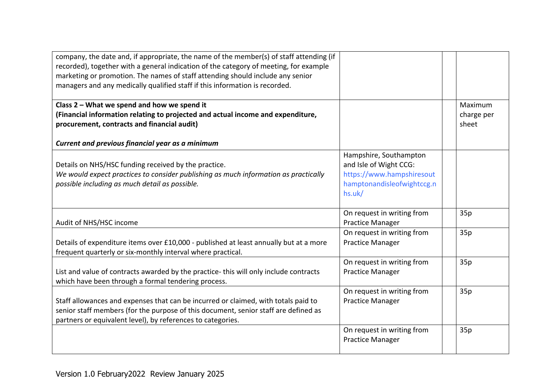| company, the date and, if appropriate, the name of the member(s) of staff attending (if<br>recorded), together with a general indication of the category of meeting, for example<br>marketing or promotion. The names of staff attending should include any senior |                                                                               |                                |
|--------------------------------------------------------------------------------------------------------------------------------------------------------------------------------------------------------------------------------------------------------------------|-------------------------------------------------------------------------------|--------------------------------|
| managers and any medically qualified staff if this information is recorded.                                                                                                                                                                                        |                                                                               |                                |
| Class 2 - What we spend and how we spend it<br>(Financial information relating to projected and actual income and expenditure,<br>procurement, contracts and financial audit)                                                                                      |                                                                               | Maximum<br>charge per<br>sheet |
| Current and previous financial year as a minimum                                                                                                                                                                                                                   |                                                                               |                                |
| Details on NHS/HSC funding received by the practice.<br>We would expect practices to consider publishing as much information as practically                                                                                                                        | Hampshire, Southampton<br>and Isle of Wight CCG:<br>https://www.hampshiresout |                                |
| possible including as much detail as possible.                                                                                                                                                                                                                     | hamptonandisleofwightccg.n<br>hs.uk/                                          |                                |
| Audit of NHS/HSC income                                                                                                                                                                                                                                            | On request in writing from<br><b>Practice Manager</b>                         | 35p                            |
| Details of expenditure items over £10,000 - published at least annually but at a more<br>frequent quarterly or six-monthly interval where practical.                                                                                                               | On request in writing from<br><b>Practice Manager</b>                         | 35p                            |
| List and value of contracts awarded by the practice- this will only include contracts<br>which have been through a formal tendering process.                                                                                                                       | On request in writing from<br><b>Practice Manager</b>                         | 35p                            |
| Staff allowances and expenses that can be incurred or claimed, with totals paid to<br>senior staff members (for the purpose of this document, senior staff are defined as<br>partners or equivalent level), by references to categories.                           | On request in writing from<br><b>Practice Manager</b>                         | 35p                            |
|                                                                                                                                                                                                                                                                    | On request in writing from<br><b>Practice Manager</b>                         | 35p                            |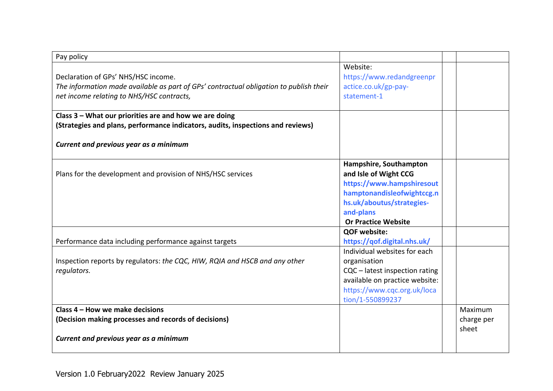| Pay policy                                                                                                                                                                 |                                                                              |            |  |
|----------------------------------------------------------------------------------------------------------------------------------------------------------------------------|------------------------------------------------------------------------------|------------|--|
| Declaration of GPs' NHS/HSC income.<br>The information made available as part of GPs' contractual obligation to publish their<br>net income relating to NHS/HSC contracts, | Website:<br>https://www.redandgreenpr<br>actice.co.uk/gp-pay-<br>statement-1 |            |  |
| Class 3 - What our priorities are and how we are doing                                                                                                                     |                                                                              |            |  |
| (Strategies and plans, performance indicators, audits, inspections and reviews)                                                                                            |                                                                              |            |  |
| Current and previous year as a minimum                                                                                                                                     |                                                                              |            |  |
|                                                                                                                                                                            | Hampshire, Southampton                                                       |            |  |
| Plans for the development and provision of NHS/HSC services                                                                                                                | and Isle of Wight CCG                                                        |            |  |
|                                                                                                                                                                            | https://www.hampshiresout                                                    |            |  |
|                                                                                                                                                                            | hamptonandisleofwightccg.n                                                   |            |  |
|                                                                                                                                                                            | hs.uk/aboutus/strategies-                                                    |            |  |
|                                                                                                                                                                            | and-plans                                                                    |            |  |
|                                                                                                                                                                            | <b>Or Practice Website</b>                                                   |            |  |
|                                                                                                                                                                            | <b>QOF website:</b>                                                          |            |  |
| Performance data including performance against targets                                                                                                                     | https://qof.digital.nhs.uk/                                                  |            |  |
|                                                                                                                                                                            | Individual websites for each                                                 |            |  |
| Inspection reports by regulators: the CQC, HIW, RQIA and HSCB and any other                                                                                                | organisation                                                                 |            |  |
| regulators.                                                                                                                                                                | CQC - latest inspection rating                                               |            |  |
|                                                                                                                                                                            | available on practice website:                                               |            |  |
|                                                                                                                                                                            | https://www.cqc.org.uk/loca                                                  |            |  |
|                                                                                                                                                                            | tion/1-550899237                                                             |            |  |
| Class 4 – How we make decisions                                                                                                                                            |                                                                              | Maximum    |  |
| (Decision making processes and records of decisions)                                                                                                                       |                                                                              | charge per |  |
|                                                                                                                                                                            |                                                                              | sheet      |  |
| Current and previous year as a minimum                                                                                                                                     |                                                                              |            |  |
|                                                                                                                                                                            |                                                                              |            |  |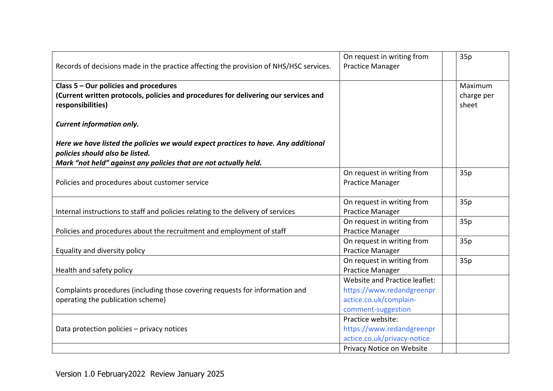|                                                                                                                       | On request in writing from    | 35p                 |
|-----------------------------------------------------------------------------------------------------------------------|-------------------------------|---------------------|
| Records of decisions made in the practice affecting the provision of NHS/HSC services.                                | <b>Practice Manager</b>       |                     |
| Class 5 - Our policies and procedures                                                                                 |                               | Maximum             |
|                                                                                                                       |                               |                     |
| (Current written protocols, policies and procedures for delivering our services and<br>responsibilities)              |                               | charge per<br>sheet |
|                                                                                                                       |                               |                     |
| <b>Current information only.</b>                                                                                      |                               |                     |
| Here we have listed the policies we would expect practices to have. Any additional<br>policies should also be listed. |                               |                     |
| Mark "not held" against any policies that are not actually held.                                                      |                               |                     |
|                                                                                                                       | On request in writing from    | 35p                 |
| Policies and procedures about customer service                                                                        | <b>Practice Manager</b>       |                     |
|                                                                                                                       |                               |                     |
|                                                                                                                       | On request in writing from    | 35p                 |
| Internal instructions to staff and policies relating to the delivery of services                                      | <b>Practice Manager</b>       |                     |
|                                                                                                                       | On request in writing from    | 35p                 |
| Policies and procedures about the recruitment and employment of staff                                                 | <b>Practice Manager</b>       |                     |
|                                                                                                                       | On request in writing from    | 35p                 |
| Equality and diversity policy                                                                                         | <b>Practice Manager</b>       |                     |
|                                                                                                                       | On request in writing from    | 35p                 |
| Health and safety policy                                                                                              | <b>Practice Manager</b>       |                     |
|                                                                                                                       | Website and Practice leaflet: |                     |
| Complaints procedures (including those covering requests for information and                                          | https://www.redandgreenpr     |                     |
| operating the publication scheme)                                                                                     | actice.co.uk/complain-        |                     |
|                                                                                                                       | comment-suggestion            |                     |
|                                                                                                                       | Practice website:             |                     |
| Data protection policies - privacy notices                                                                            | https://www.redandgreenpr     |                     |
|                                                                                                                       | actice.co.uk/privacy-notice   |                     |
|                                                                                                                       | Privacy Notice on Website     |                     |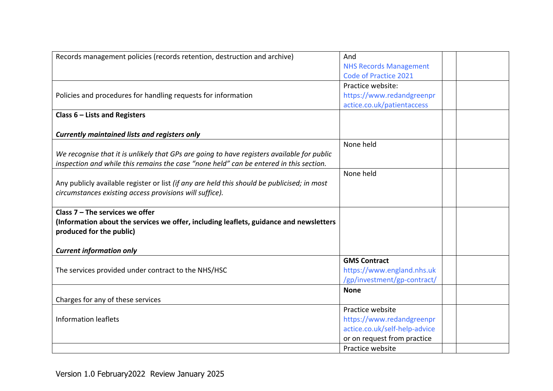| Records management policies (records retention, destruction and archive)                    | And                           |  |
|---------------------------------------------------------------------------------------------|-------------------------------|--|
|                                                                                             | <b>NHS Records Management</b> |  |
|                                                                                             | <b>Code of Practice 2021</b>  |  |
|                                                                                             | Practice website:             |  |
| Policies and procedures for handling requests for information                               | https://www.redandgreenpr     |  |
|                                                                                             | actice.co.uk/patientaccess    |  |
| Class $6$ – Lists and Registers                                                             |                               |  |
|                                                                                             |                               |  |
| <b>Currently maintained lists and registers only</b>                                        |                               |  |
|                                                                                             | None held                     |  |
| We recognise that it is unlikely that GPs are going to have registers available for public  |                               |  |
| inspection and while this remains the case "none held" can be entered in this section.      |                               |  |
|                                                                                             | None held                     |  |
| Any publicly available register or list (if any are held this should be publicised; in most |                               |  |
| circumstances existing access provisions will suffice).                                     |                               |  |
|                                                                                             |                               |  |
| Class $7 -$ The services we offer                                                           |                               |  |
| (Information about the services we offer, including leaflets, guidance and newsletters      |                               |  |
| produced for the public)                                                                    |                               |  |
|                                                                                             |                               |  |
| <b>Current information only</b>                                                             |                               |  |
|                                                                                             | <b>GMS Contract</b>           |  |
| The services provided under contract to the NHS/HSC                                         | https://www.england.nhs.uk    |  |
|                                                                                             | /gp/investment/gp-contract/   |  |
|                                                                                             | <b>None</b>                   |  |
| Charges for any of these services                                                           |                               |  |
|                                                                                             | Practice website              |  |
| <b>Information leaflets</b>                                                                 | https://www.redandgreenpr     |  |
|                                                                                             | actice.co.uk/self-help-advice |  |
|                                                                                             | or on request from practice   |  |
|                                                                                             | Practice website              |  |